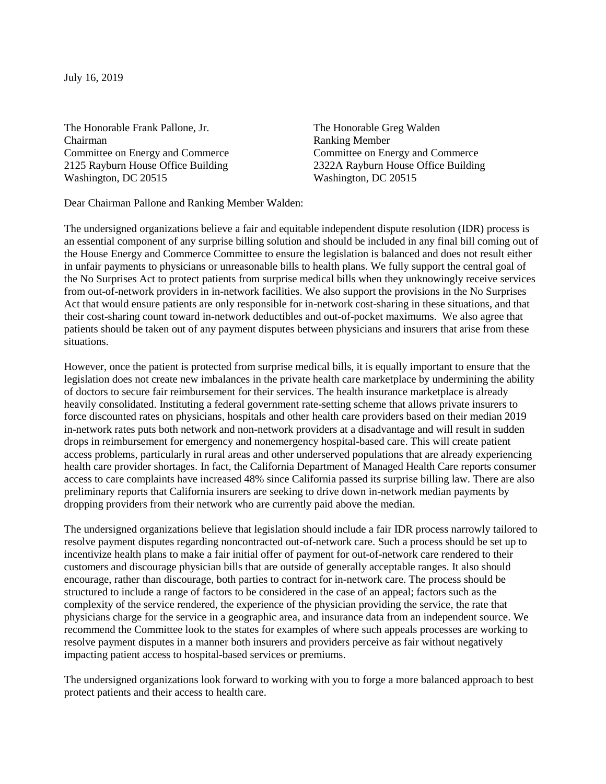July 16, 2019

The Honorable Frank Pallone, Jr. The Honorable Greg Walden Chairman Ranking Member Washington, DC 20515 Washington, DC 20515

Committee on Energy and Commerce Committee on Energy and Commerce 2125 Rayburn House Office Building 2322A Rayburn House Office Building

Dear Chairman Pallone and Ranking Member Walden:

The undersigned organizations believe a fair and equitable independent dispute resolution (IDR) process is an essential component of any surprise billing solution and should be included in any final bill coming out of the House Energy and Commerce Committee to ensure the legislation is balanced and does not result either in unfair payments to physicians or unreasonable bills to health plans. We fully support the central goal of the No Surprises Act to protect patients from surprise medical bills when they unknowingly receive services from out-of-network providers in in-network facilities. We also support the provisions in the No Surprises Act that would ensure patients are only responsible for in-network cost-sharing in these situations, and that their cost-sharing count toward in-network deductibles and out-of-pocket maximums. We also agree that patients should be taken out of any payment disputes between physicians and insurers that arise from these situations.

However, once the patient is protected from surprise medical bills, it is equally important to ensure that the legislation does not create new imbalances in the private health care marketplace by undermining the ability of doctors to secure fair reimbursement for their services. The health insurance marketplace is already heavily consolidated. Instituting a federal government rate-setting scheme that allows private insurers to force discounted rates on physicians, hospitals and other health care providers based on their median 2019 in-network rates puts both network and non-network providers at a disadvantage and will result in sudden drops in reimbursement for emergency and nonemergency hospital-based care. This will create patient access problems, particularly in rural areas and other underserved populations that are already experiencing health care provider shortages. In fact, the California Department of Managed Health Care reports consumer access to care complaints have increased 48% since California passed its surprise billing law. There are also preliminary reports that California insurers are seeking to drive down in-network median payments by dropping providers from their network who are currently paid above the median.

The undersigned organizations believe that legislation should include a fair IDR process narrowly tailored to resolve payment disputes regarding noncontracted out-of-network care. Such a process should be set up to incentivize health plans to make a fair initial offer of payment for out-of-network care rendered to their customers and discourage physician bills that are outside of generally acceptable ranges. It also should encourage, rather than discourage, both parties to contract for in-network care. The process should be structured to include a range of factors to be considered in the case of an appeal; factors such as the complexity of the service rendered, the experience of the physician providing the service, the rate that physicians charge for the service in a geographic area, and insurance data from an independent source. We recommend the Committee look to the states for examples of where such appeals processes are working to resolve payment disputes in a manner both insurers and providers perceive as fair without negatively impacting patient access to hospital-based services or premiums.

The undersigned organizations look forward to working with you to forge a more balanced approach to best protect patients and their access to health care.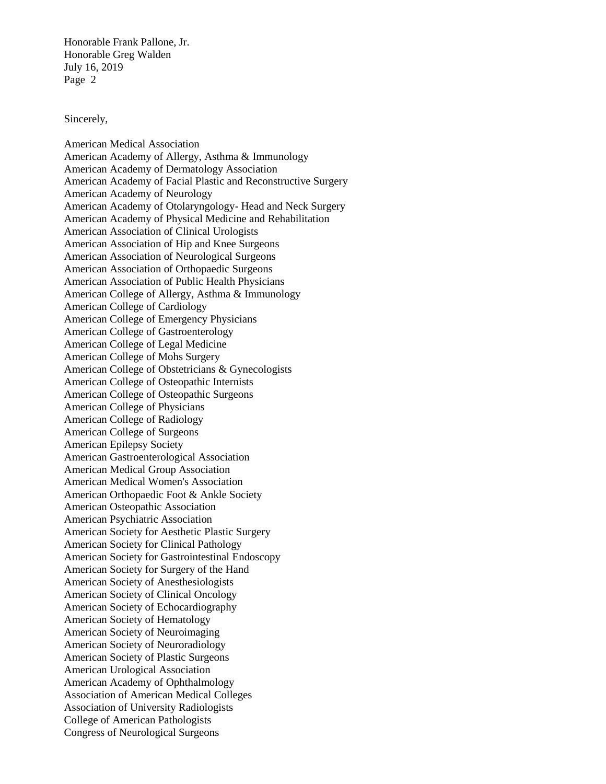Honorable Frank Pallone, Jr. Honorable Greg Walden July 16, 2019 Page 2

Sincerely,

American Medical Association American Academy of Allergy, Asthma & Immunology American Academy of Dermatology Association American Academy of Facial Plastic and Reconstructive Surgery American Academy of Neurology American Academy of Otolaryngology- Head and Neck Surgery American Academy of Physical Medicine and Rehabilitation American Association of Clinical Urologists American Association of Hip and Knee Surgeons American Association of Neurological Surgeons American Association of Orthopaedic Surgeons American Association of Public Health Physicians American College of Allergy, Asthma & Immunology American College of Cardiology American College of Emergency Physicians American College of Gastroenterology American College of Legal Medicine American College of Mohs Surgery American College of Obstetricians & Gynecologists American College of Osteopathic Internists American College of Osteopathic Surgeons American College of Physicians American College of Radiology American College of Surgeons American Epilepsy Society American Gastroenterological Association American Medical Group Association American Medical Women's Association American Orthopaedic Foot & Ankle Society American Osteopathic Association American Psychiatric Association American Society for Aesthetic Plastic Surgery American Society for Clinical Pathology American Society for Gastrointestinal Endoscopy American Society for Surgery of the Hand American Society of Anesthesiologists American Society of Clinical Oncology American Society of Echocardiography American Society of Hematology American Society of Neuroimaging American Society of Neuroradiology American Society of Plastic Surgeons American Urological Association American Academy of Ophthalmology Association of American Medical Colleges Association of University Radiologists College of American Pathologists Congress of Neurological Surgeons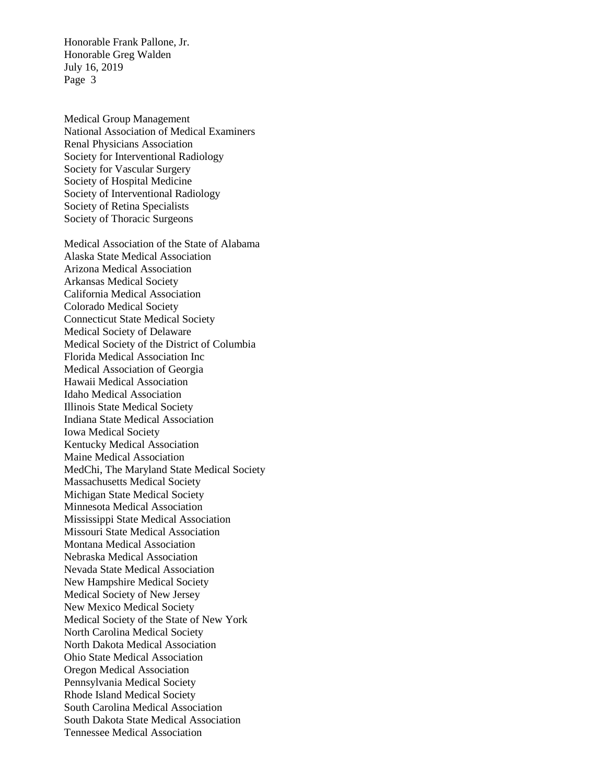Honorable Frank Pallone, Jr. Honorable Greg Walden July 16, 2019 Page 3

Medical Group Management National Association of Medical Examiners Renal Physicians Association Society for Interventional Radiology Society for Vascular Surgery Society of Hospital Medicine Society of Interventional Radiology Society of Retina Specialists Society of Thoracic Surgeons

Medical Association of the State of Alabama Alaska State Medical Association Arizona Medical Association Arkansas Medical Society California Medical Association Colorado Medical Society Connecticut State Medical Society Medical Society of Delaware Medical Society of the District of Columbia Florida Medical Association Inc Medical Association of Georgia Hawaii Medical Association Idaho Medical Association Illinois State Medical Society Indiana State Medical Association Iowa Medical Society Kentucky Medical Association Maine Medical Association MedChi, The Maryland State Medical Society Massachusetts Medical Society Michigan State Medical Society Minnesota Medical Association Mississippi State Medical Association Missouri State Medical Association Montana Medical Association Nebraska Medical Association Nevada State Medical Association New Hampshire Medical Society Medical Society of New Jersey New Mexico Medical Society Medical Society of the State of New York North Carolina Medical Society North Dakota Medical Association Ohio State Medical Association Oregon Medical Association Pennsylvania Medical Society Rhode Island Medical Society South Carolina Medical Association South Dakota State Medical Association Tennessee Medical Association